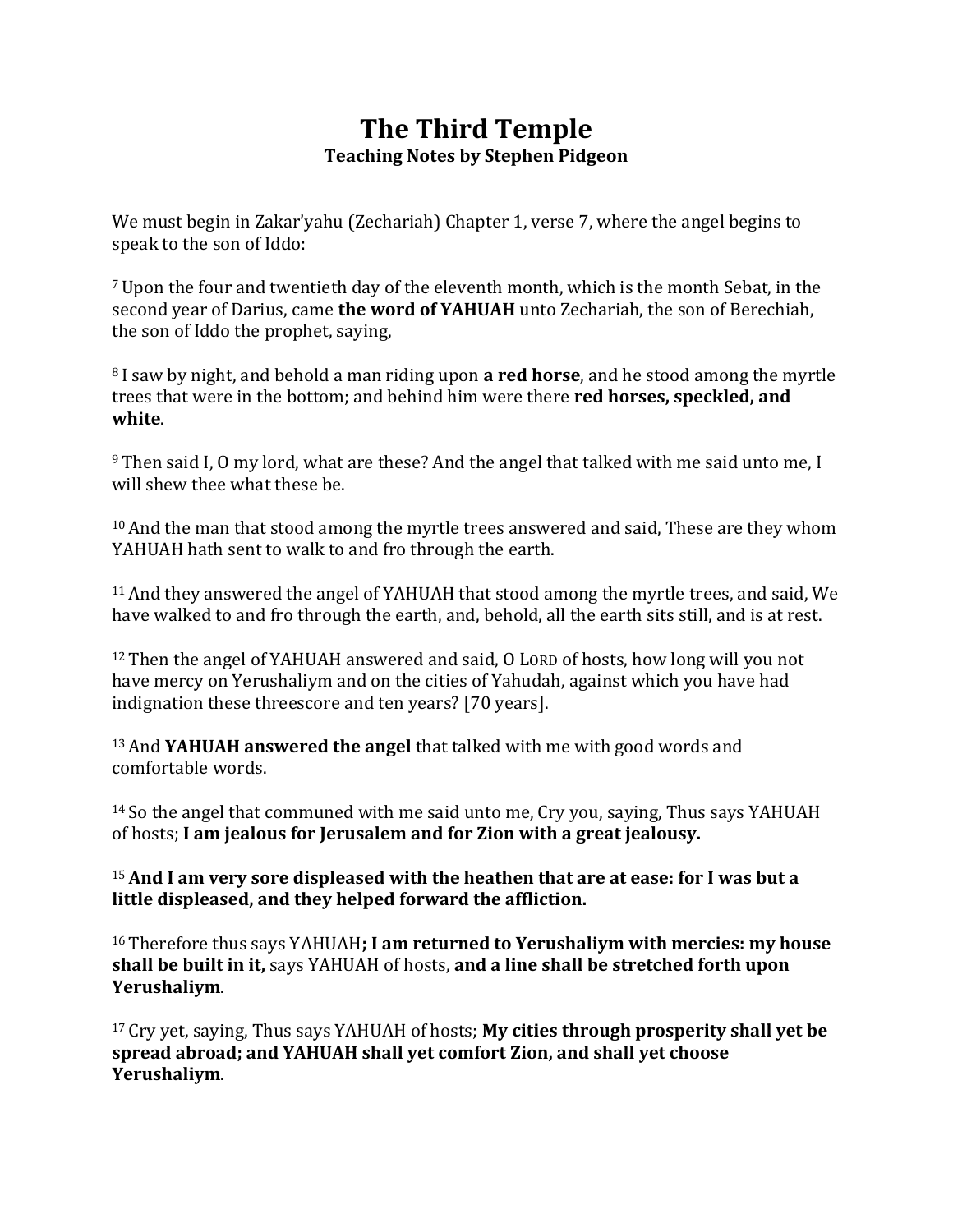# **The Third Temple Teaching Notes by Stephen Pidgeon**

We must begin in Zakar'yahu (Zechariah) Chapter 1, verse 7, where the angel begins to speak to the son of Iddo:

<sup>7</sup>Upon the four and twentieth day of the eleventh month, which is the month Sebat, in the second year of Darius, came **the word of YAHUAH** unto Zechariah, the son of Berechiah, the son of Iddo the prophet, saying,

<sup>8</sup> I saw by night, and behold a man riding upon **a red horse**, and he stood among the myrtle trees that were in the bottom; and behind him were there **red horses, speckled, and white**.

<sup>9</sup> Then said I, O my lord, what are these? And the angel that talked with me said unto me, I will shew thee what these be.

<sup>10</sup> And the man that stood among the myrtle trees answered and said, These are they whom YAHUAH hath sent to walk to and fro through the earth.

<sup>11</sup>And they answered the angel of YAHUAH that stood among the myrtle trees, and said, We have walked to and fro through the earth, and, behold, all the earth sits still, and is at rest.

<sup>12</sup> Then the angel of YAHUAH answered and said, O LORD of hosts, how long will you not have mercy on Yerushaliym and on the cities of Yahudah, against which you have had indignation these threescore and ten years? [70 years].

<sup>13</sup>And **YAHUAH answered the angel** that talked with me with good words and comfortable words.

<sup>14</sup> So the angel that communed with me said unto me, Cry you, saying, Thus says YAHUAH of hosts; **I am jealous for Jerusalem and for Zion with a great jealousy.**

<sup>15</sup>**And I am very sore displeased with the heathen that are at ease: for I was but a little displeased, and they helped forward the affliction.**

<sup>16</sup> Therefore thus says YAHUAH**; I am returned to Yerushaliym with mercies: my house shall be built in it,** says YAHUAH of hosts, **and a line shall be stretched forth upon Yerushaliym**.

<sup>17</sup> Cry yet, saying, Thus says YAHUAH of hosts; **My cities through prosperity shall yet be spread abroad; and YAHUAH shall yet comfort Zion, and shall yet choose Yerushaliym**.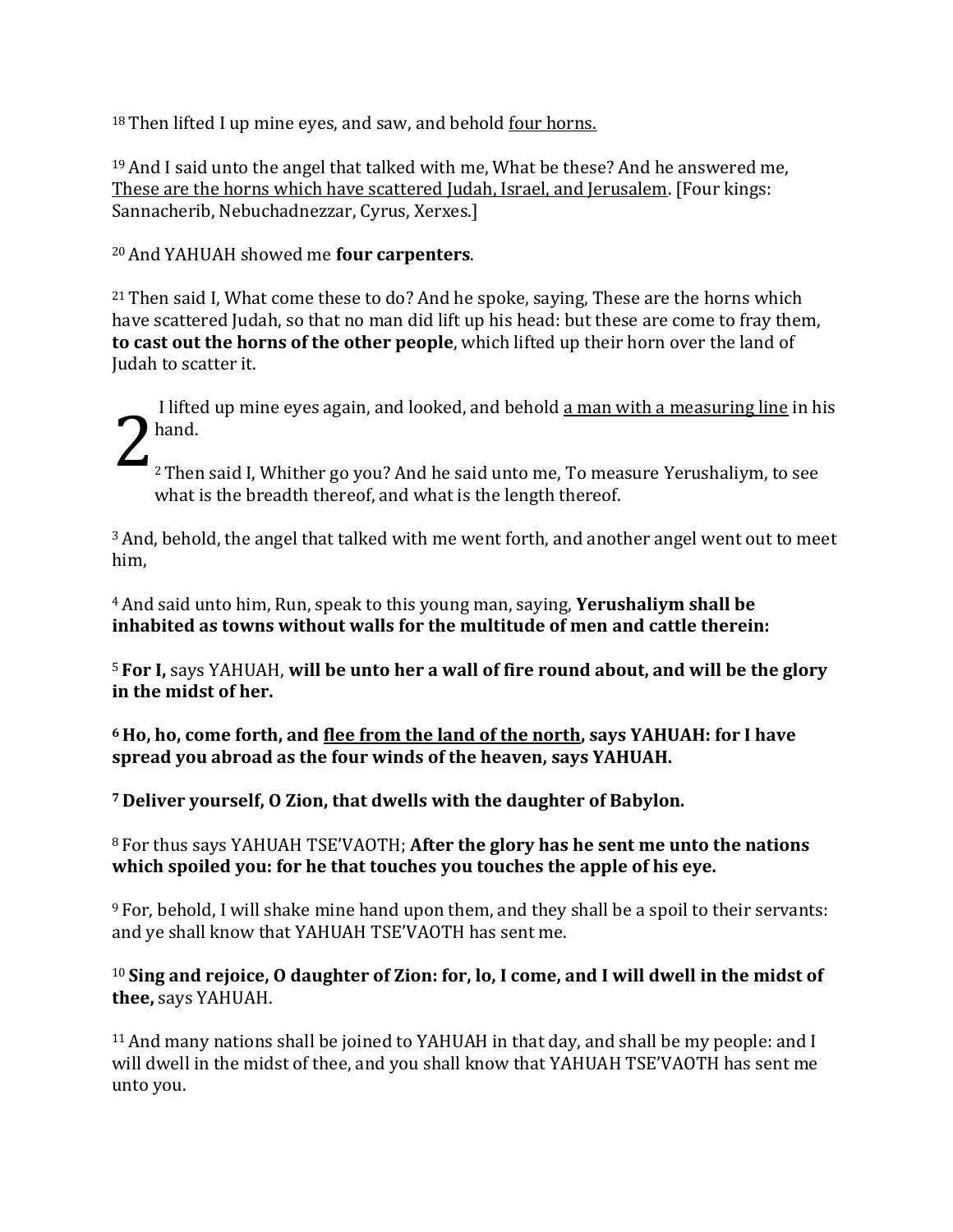<sup>18</sup> Then lifted I up mine eyes, and saw, and behold four horns.

<sup>19</sup>And I said unto the angel that talked with me, What be these? And he answered me, These are the horns which have scattered Judah, Israel, and Jerusalem. [Four kings: Sannacherib, Nebuchadnezzar, Cyrus, Xerxes.]

#### <sup>20</sup>And YAHUAH showed me **four carpenters**.

<sup>21</sup> Then said I, What come these to do? And he spoke, saying, These are the horns which have scattered Judah, so that no man did lift up his head: but these are come to fray them, **to cast out the horns of the other people**, which lifted up their horn over the land of Judah to scatter it.

I lifted up mine eyes again, and looked, and behold a man with a measuring line in his hand. 2 Then said I, Whither go you? And he said unto me, To measure Yerushaliym, to see

what is the breadth thereof, and what is the length thereof.

<sup>3</sup>And, behold, the angel that talked with me went forth, and another angel went out to meet him,

<sup>4</sup>And said unto him, Run, speak to this young man, saying, **Yerushaliym shall be inhabited as towns without walls for the multitude of men and cattle therein:**

<sup>5</sup> **For I,** says YAHUAH, **will be unto her a wall of fire round about, and will be the glory in the midst of her.**

**<sup>6</sup> Ho, ho, come forth, and flee from the land of the north, says YAHUAH: for I have spread you abroad as the four winds of the heaven, says YAHUAH.**

**<sup>7</sup> Deliver yourself, O Zion, that dwells with the daughter of Babylon.**

#### <sup>8</sup> For thus says YAHUAH TSE'VAOTH; **After the glory has he sent me unto the nations which spoiled you: for he that touches you touches the apple of his eye.**

<sup>9</sup> For, behold, I will shake mine hand upon them, and they shall be a spoil to their servants: and ye shall know that YAHUAH TSE'VAOTH has sent me.

#### <sup>10</sup> **Sing and rejoice, O daughter of Zion: for, lo, I come, and I will dwell in the midst of thee,** says YAHUAH.

<sup>11</sup>And many nations shall be joined to YAHUAH in that day, and shall be my people: and I will dwell in the midst of thee, and you shall know that YAHUAH TSE'VAOTH has sent me unto you.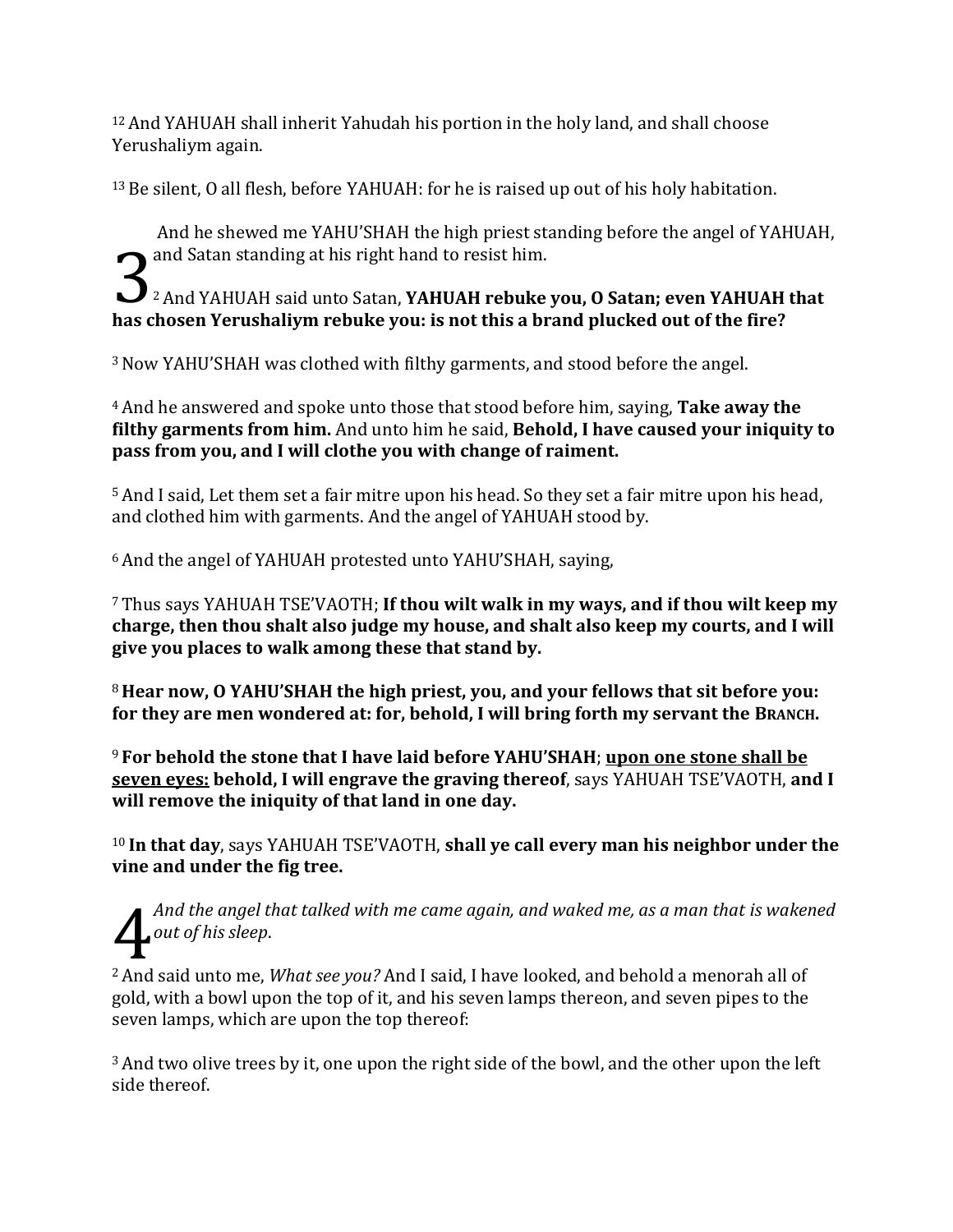<sup>12</sup>And YAHUAH shall inherit Yahudah his portion in the holy land, and shall choose Yerushaliym again.

<sup>13</sup>Be silent, O all flesh, before YAHUAH: for he is raised up out of his holy habitation.

And he shewed me YAHU'SHAH the high priest standing before the angel of YAHUAH, and Satan standing at his right hand to resist him.<br><sup>2</sup> And YAHUAH said unto Satan, **YAHUAH rebuke** <sup>2</sup>And YAHUAH said unto Satan, **YAHUAH rebuke you, O Satan; even YAHUAH that has chosen Yerushaliym rebuke you: is not this a brand plucked out of the fire?**

<sup>3</sup>Now YAHU'SHAH was clothed with filthy garments, and stood before the angel.

<sup>4</sup>And he answered and spoke unto those that stood before him, saying, **Take away the filthy garments from him.** And unto him he said, **Behold, I have caused your iniquity to pass from you, and I will clothe you with change of raiment.**

<sup>5</sup>And I said, Let them set a fair mitre upon his head. So they set a fair mitre upon his head, and clothed him with garments. And the angel of YAHUAH stood by.

<sup>6</sup> And the angel of YAHUAH protested unto YAHU'SHAH, saying,

<sup>7</sup> Thus says YAHUAH TSE'VAOTH; **If thou wilt walk in my ways, and if thou wilt keep my charge, then thou shalt also judge my house, and shalt also keep my courts, and I will give you places to walk among these that stand by.**

<sup>8</sup> **Hear now, O YAHU'SHAH the high priest, you, and your fellows that sit before you: for they are men wondered at: for, behold, I will bring forth my servant the BRANCH.**

<sup>9</sup> **For behold the stone that I have laid before YAHU'SHAH**; **upon one stone shall be seven eyes: behold, I will engrave the graving thereof**, says YAHUAH TSE'VAOTH, **and I will remove the iniquity of that land in one day.**

<sup>10</sup> **In that day**, says YAHUAH TSE'VAOTH, **shall ye call every man his neighbor under the vine and under the fig tree.**

*And the angel that talked with me came again, and waked me, as a man that is wakened out of his sleep*. 4

<sup>2</sup>And said unto me, *What see you?* And I said, I have looked, and behold a menorah all of gold, with a bowl upon the top of it, and his seven lamps thereon, and seven pipes to the seven lamps, which are upon the top thereof:

<sup>3</sup> And two olive trees by it, one upon the right side of the bowl, and the other upon the left side thereof.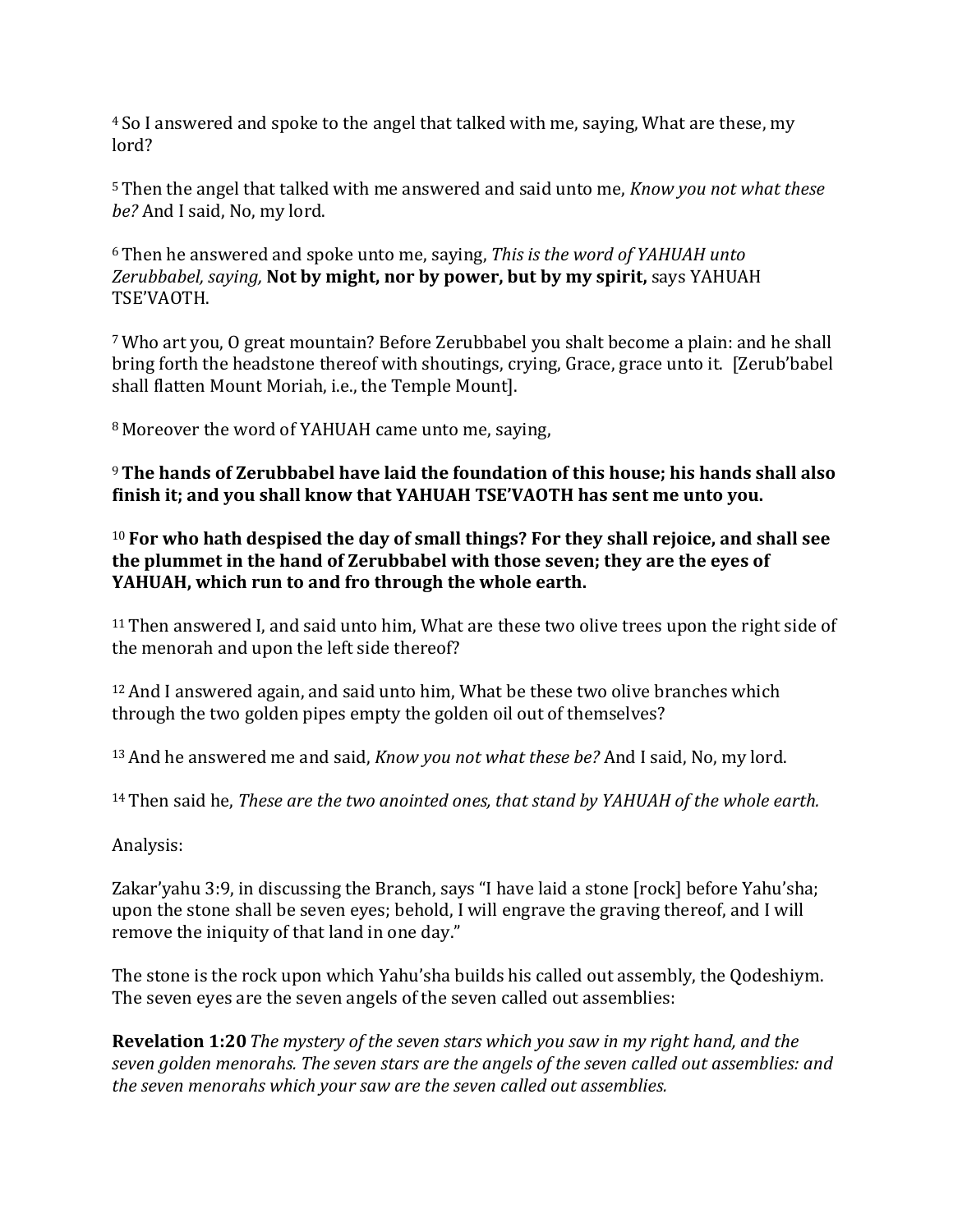<sup>4</sup> So I answered and spoke to the angel that talked with me, saying, What are these, my lord?

<sup>5</sup> Then the angel that talked with me answered and said unto me, *Know you not what these be?* And I said, No, my lord.

<sup>6</sup> Then he answered and spoke unto me, saying, *This is the word of YAHUAH unto Zerubbabel, saying,* **Not by might, nor by power, but by my spirit,** says YAHUAH TSE'VAOTH.

<sup>7</sup>Who art you, O great mountain? Before Zerubbabel you shalt become a plain: and he shall bring forth the headstone thereof with shoutings, crying, Grace, grace unto it. [Zerub'babel shall flatten Mount Moriah, i.e., the Temple Mount].

<sup>8</sup> Moreover the word of YAHUAH came unto me, saying,

<sup>9</sup>**The hands of Zerubbabel have laid the foundation of this house; his hands shall also finish it; and you shall know that YAHUAH TSE'VAOTH has sent me unto you.**

<sup>10</sup> **For who hath despised the day of small things? For they shall rejoice, and shall see the plummet in the hand of Zerubbabel with those seven; they are the eyes of YAHUAH, which run to and fro through the whole earth.**

<sup>11</sup> Then answered I, and said unto him, What are these two olive trees upon the right side of the menorah and upon the left side thereof?

<sup>12</sup>And I answered again, and said unto him, What be these two olive branches which through the two golden pipes empty the golden oil out of themselves?

<sup>13</sup>And he answered me and said, *Know you not what these be?* And I said, No, my lord.

<sup>14</sup> Then said he, *These are the two anointed ones, that stand by YAHUAH of the whole earth.*

Analysis:

Zakar'yahu 3:9, in discussing the Branch, says "I have laid a stone [rock] before Yahu'sha; upon the stone shall be seven eyes; behold, I will engrave the graving thereof, and I will remove the iniquity of that land in one day."

The stone is the rock upon which Yahu'sha builds his called out assembly, the Qodeshiym. The seven eyes are the seven angels of the seven called out assemblies:

**Revelation 1:20***The mystery of the seven stars which you saw in my right hand, and the seven golden menorahs. The seven stars are the angels of the seven called out assemblies: and the seven menorahs which your saw are the seven called out assemblies.*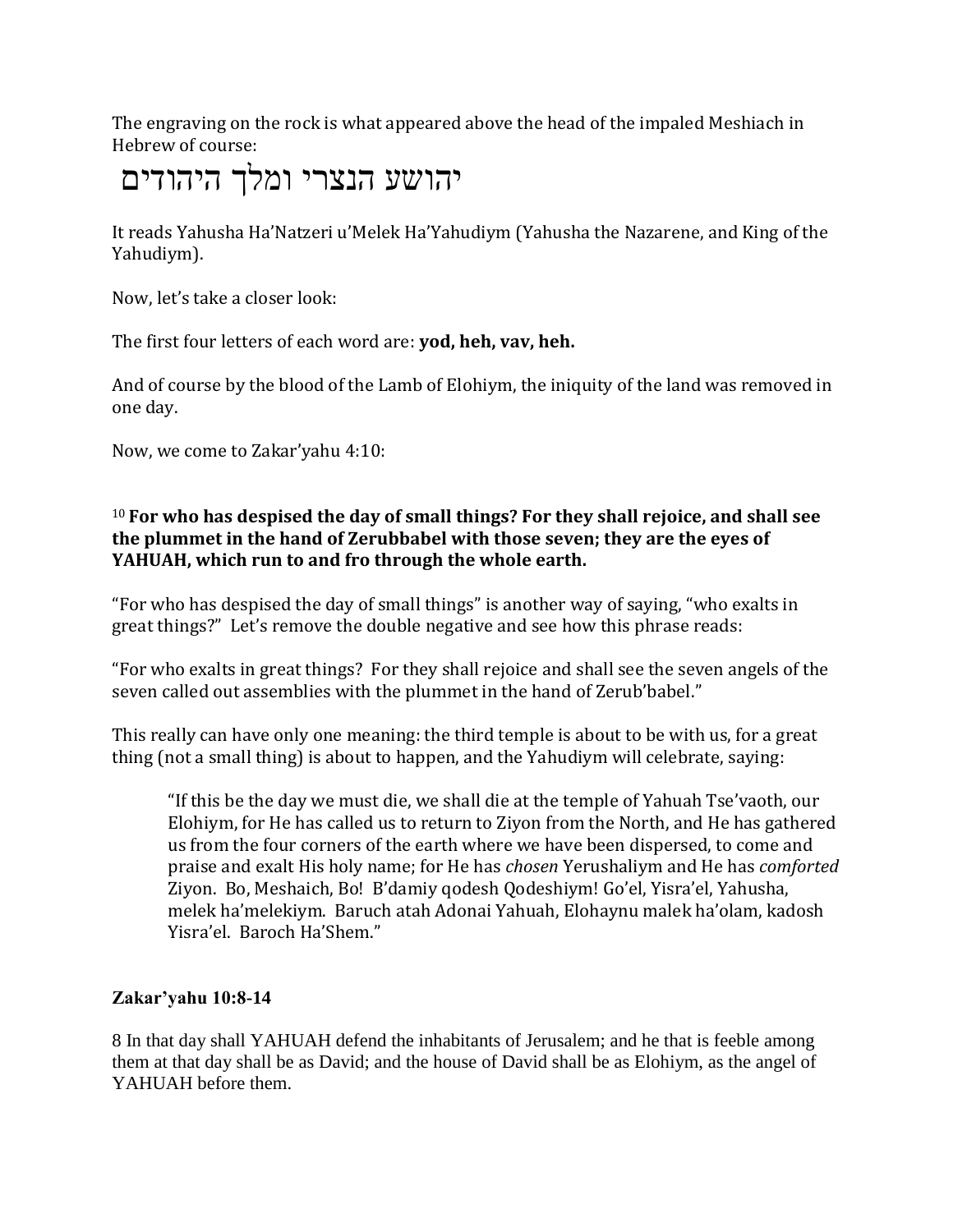The engraving on the rock is what appeared above the head of the impaled Meshiach in Hebrew of course:

# יהושע הנצרי ומלך היהודים

It reads Yahusha Ha'Natzeri u'Melek Ha'Yahudiym (Yahusha the Nazarene, and King of the Yahudiym).

Now, let's take a closer look:

The first four letters of each word are: **yod, heh, vav, heh.**

And of course by the blood of the Lamb of Elohiym, the iniquity of the land was removed in one day.

Now, we come to Zakar'yahu 4:10:

## <sup>10</sup> **For who has despised the day of small things? For they shall rejoice, and shall see the plummet in the hand of Zerubbabel with those seven; they are the eyes of YAHUAH, which run to and fro through the whole earth.**

"For who has despised the day of small things" is another way of saying, "who exalts in great things?" Let's remove the double negative and see how this phrase reads:

"For who exalts in great things? For they shall rejoice and shall see the seven angels of the seven called out assemblies with the plummet in the hand of Zerub'babel."

This really can have only one meaning: the third temple is about to be with us, for a great thing (not a small thing) is about to happen, and the Yahudiym will celebrate, saying:

"If this be the day we must die, we shall die at the temple of Yahuah Tse'vaoth, our Elohiym, for He has called us to return to Ziyon from the North, and He has gathered us from the four corners of the earth where we have been dispersed, to come and praise and exalt His holy name; for He has *chosen* Yerushaliym and He has *comforted* Ziyon. Bo, Meshaich, Bo! B'damiy qodesh Qodeshiym! Go'el, Yisra'el, Yahusha, melek ha'melekiym. Baruch atah Adonai Yahuah, Elohaynu malek ha'olam, kadosh Yisra'el. Baroch Ha'Shem."

## **Zakar'yahu 10:8-14**

8 In that day shall YAHUAH defend the inhabitants of Jerusalem; and he that is feeble among them at that day shall be as David; and the house of David shall be as Elohiym, as the angel of YAHUAH before them.